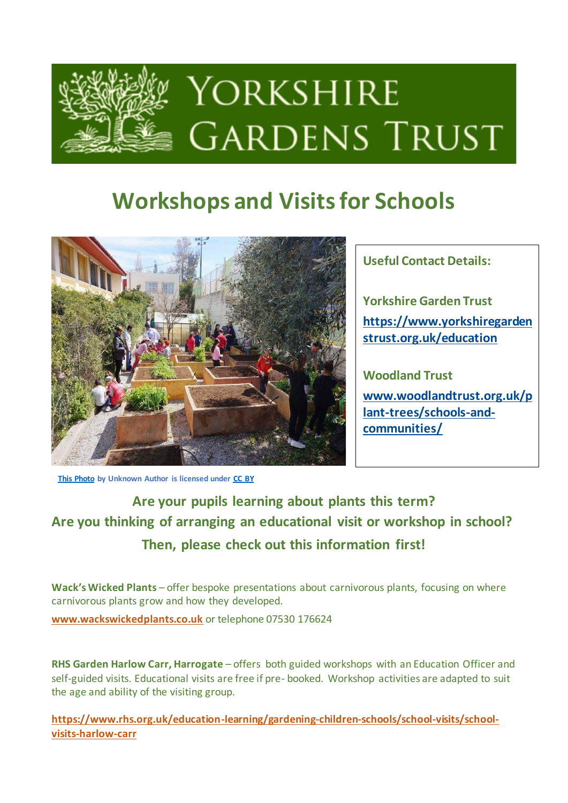

# **Workshops and Visits for Schools**



**Useful Contact Details:**

**Yorkshire Garden Trust [https://www.yorkshiregarden](https://www.yorkshiregardenstrust.org.uk/education) [strust.org.uk/education](https://www.yorkshiregardenstrust.org.uk/education)**

**Woodland Trust [www.woodlandtrust.org.uk/p](http://www.woodlandtrust.org.uk/plant-trees/schools-and-communities/) [lant-trees/schools-and](http://www.woodlandtrust.org.uk/plant-trees/schools-and-communities/)[communities/](http://www.woodlandtrust.org.uk/plant-trees/schools-and-communities/)**

**[This Photo](https://peleandoconlastic.blogspot.com/2017/12/osos-transformando-los-colegios-en.html) by Unknown Author is licensed under [CC BY](https://creativecommons.org/licenses/by/3.0/)**

**Are your pupils learning about plants this term? Are you thinking of arranging an educational visit or workshop in school? Then, please check out this information first!**

**Wack's Wicked Plants** – offer bespoke presentations about carnivorous plants, focusing on where carnivorous plants grow and how they developed.

**[www.wackswickedplants.co.uk](http://www.wackswickedplants.co.uk/)** or telephone 07530 176624

**RHS Garden Harlow Carr, Harrogate** – offers both guided workshops with an Education Officer and self-guided visits. Educational visits are free if pre- booked. Workshop activities are adapted to suit the age and ability of the visiting group.

**[https://www.rhs.org.uk/education-learning/gardening-children-schools/school-visits/school](https://www.rhs.org.uk/education-learning/gardening-children-schools/school-visits/school-visits-harlow-carr)[visits-harlow-carr](https://www.rhs.org.uk/education-learning/gardening-children-schools/school-visits/school-visits-harlow-carr)**